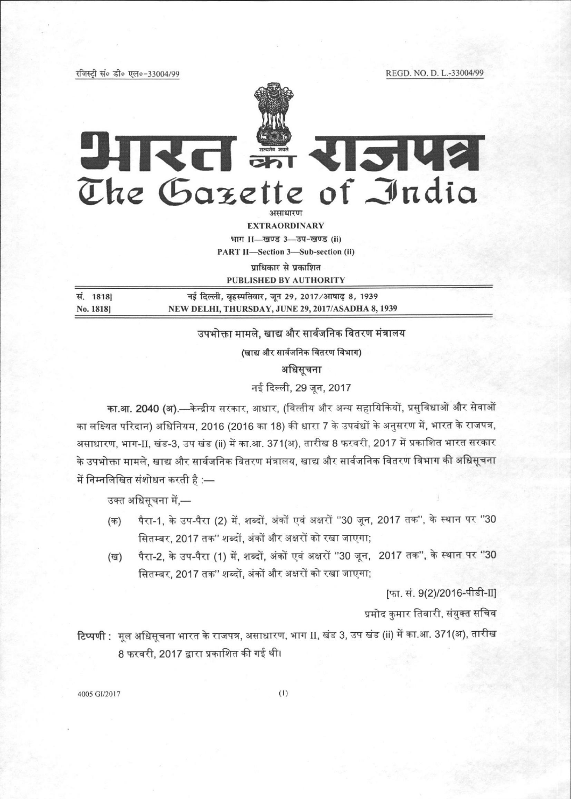रजिस्टी सं० डी० एल०-33004/99

REGD. NO. D. L.-33004/99



# आरत इं राजपत्र The Gazette of India

здатялан

**EXTRAORDINARY** भाग II-खण्ड 3-उप-खण्ड (ii)

**PART II-Section 3-Sub-section (ii)** 

पाधिकार से प्रकाशित

**PUBLISHED BY AUTHORITY** 

| सं. 1818] | नई दिल्ली, बृहस्पतिवार, जून 29, 2017/आषाढ़ 8, 1939 |  |
|-----------|----------------------------------------------------|--|
| No. 1818  | NEW DELHI, THURSDAY, JUNE 29, 2017/ASADHA 8, 1939  |  |

उपभोक्ता मामले. खाद्य और सार्वजनिक वितरण मंत्रालय

(खाद्य और सार्वजनिक वितरण विभाग)

अधिसूचना

नई दिल्ली, 29 जून, 2017

का.आ. 2040 (अ).—केन्द्रीय सरकार, आधार, (वित्तीय और अन्य सहायिकियों, प्रसुविधाओं और सेवाओं का लक्ष्यित परिदान) अधिनियम, 2016 (2016 का 18) की धारा 7 के उपबंधों के अनुसरण में, भारत के राजपत्र, असाधारण, भाग-II, खंड-3, उप खंड (ii) में का.आ. 371(अ), तारीख 8 फरवरी, 2017 में प्रकाशित भारत सरकार के उपभोक्ता मामले, खाद्य और सार्वजनिक वितरण मंत्रालय, खाद्य और सार्वजनिक वितरण विभाग की अधिसूचना में निम्नलिखित संशोधन करती है :—

उक्त अधिसूचना में,—

- पैरा-1, के उप-पैरा (2) में, शब्दों, अंकों एवं अक्षरों ''30 जून, 2017 तक'', के स्थान पर ''30 (क) सितम्बर, 2017 तक" शब्दों, अंकों और अक्षरों को रखा जाएगा;
- पैरा-2, के उप-पैरा (1) में, शब्दों, अंकों एवं अक्षरों "30 जून, 2017 तक", के स्थान पर "30 (ख) सितम्बर, 2017 तक" शब्दों, अंकों और अक्षरों को रखा जाएगा;

[फा. सं. 9(2)/2016-पीडी-II]

प्रमोद कुमार तिवारी, संयुक्त सचिव

टिप्पणी : मूल अधिसूचना भारत के राजपत्र, असाधारण, भाग II, खंड 3, उप खंड (ii) में का.आ. 371(अ), तारीख 8 फरवरी, 2017 द्वारा प्रकाशित की गई थी।

4005 GI/2017

 $(1)$